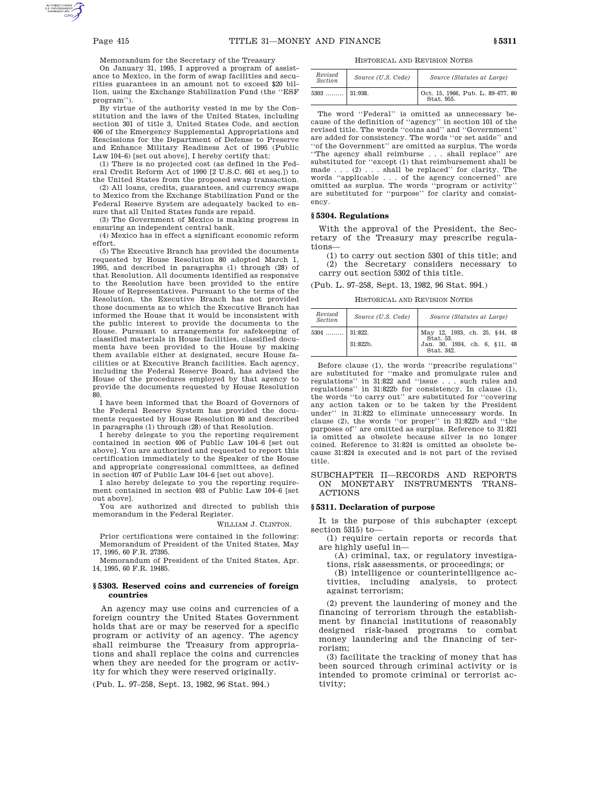Memorandum for the Secretary of the Treasury

On January 31, 1995, I approved a program of assistance to Mexico, in the form of swap facilities and securities guarantees in an amount not to exceed \$20 billion, using the Exchange Stabilization Fund (the ''ESF program'').

By virtue of the authority vested in me by the Constitution and the laws of the United States, including section 301 of title 3, United States Code, and section 406 of the Emergency Supplemental Appropriations and Rescissions for the Department of Defense to Preserve and Enhance Military Readiness Act of 1995 (Public Law 104–6) [set out above], I hereby certify that:

(1) There is no projected cost (as defined in the Federal Credit Reform Act of 1990 [2 U.S.C. 661 et seq.]) to the United States from the proposed swap transaction.

(2) All loans, credits, guarantees, and currency swaps to Mexico from the Exchange Stabilization Fund or the Federal Reserve System are adequately backed to ensure that all United States funds are repaid.

(3) The Government of Mexico is making progress in ensuring an independent central bank.

(4) Mexico has in effect a significant economic reform effort.

(5) The Executive Branch has provided the documents requested by House Resolution 80 adopted March 1, 1995, and described in paragraphs (1) through (28) of that Resolution. All documents identified as responsive to the Resolution have been provided to the entire House of Representatives. Pursuant to the terms of the Resolution, the Executive Branch has not provided those documents as to which the Executive Branch has informed the House that it would be inconsistent with the public interest to provide the documents to the House. Pursuant to arrangements for safekeeping of classified materials in House facilities, classified documents have been provided to the House by making them available either at designated, secure House facilities or at Executive Branch facilities. Each agency, including the Federal Reserve Board, has advised the House of the procedures employed by that agency to provide the documents requested by House Resolution 80.

I have been informed that the Board of Governors of the Federal Reserve System has provided the documents requested by House Resolution 80 and described in paragraphs (1) through (28) of that Resolution.

I hereby delegate to you the reporting requirement contained in section 406 of Public Law 104–6 [set out above]. You are authorized and requested to report this certification immediately to the Speaker of the House and appropriate congressional committees, as defined in section 407 of Public Law 104–6 [set out above].

I also hereby delegate to you the reporting requirement contained in section 403 of Public Law 104–6 [set out above].

You are authorized and directed to publish this memorandum in the Federal Register.

WILLIAM J. CLINTON.

Prior certifications were contained in the following: Memorandum of President of the United States, May 17, 1995, 60 F.R. 27395.

Memorandum of President of the United States, Apr. 14, 1995, 60 F.R. 19485.

# **§ 5303. Reserved coins and currencies of foreign countries**

An agency may use coins and currencies of a foreign country the United States Government holds that are or may be reserved for a specific program or activity of an agency. The agency shall reimburse the Treasury from appropriations and shall replace the coins and currencies when they are needed for the program or activity for which they were reserved originally.

(Pub. L. 97–258, Sept. 13, 1982, 96 Stat. 994.)

HISTORICAL AND REVISION NOTES

| Revised<br>Section | Source (U.S. Code) | Source (Statutes at Large)                      |
|--------------------|--------------------|-------------------------------------------------|
| $5303$   31:938.   |                    | Oct. 15, 1966, Pub. L. 89-677, 80<br>Stat. 955. |

The word ''Federal'' is omitted as unnecessary because of the definition of ''agency'' in section 101 of the revised title. The words ''coins and'' and ''Government'' are added for consistency. The words ''or set aside'' and ''of the Government'' are omitted as surplus. The words ''The agency shall reimburse . . . shall replace'' are substituted for ''except (1) that reimbursement shall be made . . . (2) . . . shall be replaced'' for clarity. The words ''applicable . . . of the agency concerned'' are omitted as surplus. The words ''program or activity'' are substituted for ''purpose'' for clarity and consistency.

## **§ 5304. Regulations**

With the approval of the President, the Secretary of the Treasury may prescribe regulations—

(1) to carry out section 5301 of this title; and (2) the Secretary considers necessary to carry out section 5302 of this title.

(Pub. L. 97–258, Sept. 13, 1982, 96 Stat. 994.)

HISTORICAL AND REVISION NOTES

| Revised<br>Section | Source (U.S. Code) | Source (Statutes at Large)                  |
|--------------------|--------------------|---------------------------------------------|
| $5304$             | 31:822.            | May 12, 1933, ch. 25, §44, 48<br>Stat. 53.  |
|                    | 31:822b.           | Jan. 30, 1934, ch. 6, §11, 48<br>Stat. 342. |

Before clause (1), the words ''prescribe regulations'' are substituted for ''make and promulgate rules and regulations'' in 31:822 and ''issue . . . such rules and regulations'' in 31:822b for consistency. In clause (1), the words ''to carry out'' are substituted for ''covering any action taken or to be taken by the President under'' in 31:822 to eliminate unnecessary words. In clause (2), the words ''or proper'' in 31:822b and ''the purposes of'' are omitted as surplus. Reference to 31:821 is omitted as obsolete because silver is no longer coined. Reference to 31:824 is omitted as obsolete because 31:824 is executed and is not part of the revised title.

SUBCHAPTER II—RECORDS AND REPORTS ON MONETARY INSTRUMENTS TRANS-ACTIONS

## **§ 5311. Declaration of purpose**

It is the purpose of this subchapter (except section 5315) to—

(1) require certain reports or records that are highly useful in—

(A) criminal, tax, or regulatory investigations, risk assessments, or proceedings; or

(B) intelligence or counterintelligence activities, including analysis, to protect against terrorism;

(2) prevent the laundering of money and the financing of terrorism through the establishment by financial institutions of reasonably designed risk-based programs to combat money laundering and the financing of terrorism;

(3) facilitate the tracking of money that has been sourced through criminal activity or is intended to promote criminal or terrorist activity;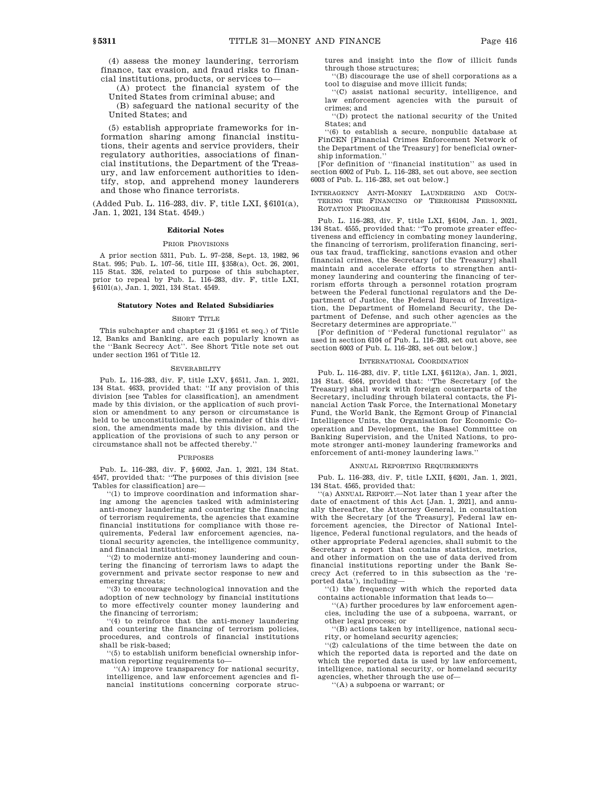(4) assess the money laundering, terrorism finance, tax evasion, and fraud risks to financial institutions, products, or services to—

(A) protect the financial system of the United States from criminal abuse; and

(B) safeguard the national security of the United States; and

(5) establish appropriate frameworks for information sharing among financial institutions, their agents and service providers, their regulatory authorities, associations of financial institutions, the Department of the Treasury, and law enforcement authorities to identify, stop, and apprehend money launderers and those who finance terrorists.

(Added Pub. L. 116–283, div. F, title LXI, §6101(a), Jan. 1, 2021, 134 Stat. 4549.)

## **Editorial Notes**

## PRIOR PROVISIONS

A prior section 5311, Pub. L. 97–258, Sept. 13, 1982, 96 Stat. 995; Pub. L. 107–56, title III, §358(a), Oct. 26, 2001, 115 Stat. 326, related to purpose of this subchapter, prior to repeal by Pub. L. 116–283, div. F, title LXI, §6101(a), Jan. 1, 2021, 134 Stat. 4549.

# **Statutory Notes and Related Subsidiaries**

#### SHORT TITLE

This subchapter and chapter 21 (§1951 et seq.) of Title 12, Banks and Banking, are each popularly known as the ''Bank Secrecy Act''. See Short Title note set out under section 1951 of Title 12.

## **SEVERABILITY**

Pub. L. 116–283, div. F, title LXV, §6511, Jan. 1, 2021, 134 Stat. 4633, provided that: ''If any provision of this division [see Tables for classification], an amendment made by this division, or the application of such provision or amendment to any person or circumstance is held to be unconstitutional, the remainder of this division, the amendments made by this division, and the application of the provisions of such to any person or circumstance shall not be affected thereby.''

### PURPOSES

Pub. L. 116–283, div. F, §6002, Jan. 1, 2021, 134 Stat. 4547, provided that: ''The purposes of this division [see Tables for classification] are—

''(1) to improve coordination and information sharing among the agencies tasked with administering anti-money laundering and countering the financing of terrorism requirements, the agencies that examine financial institutions for compliance with those requirements, Federal law enforcement agencies, national security agencies, the intelligence community, and financial institutions;

''(2) to modernize anti-money laundering and countering the financing of terrorism laws to adapt the government and private sector response to new and emerging threats;

''(3) to encourage technological innovation and the adoption of new technology by financial institutions to more effectively counter money laundering and the financing of terrorism;

''(4) to reinforce that the anti-money laundering and countering the financing of terrorism policies, procedures, and controls of financial institutions shall be risk-based;

''(5) to establish uniform beneficial ownership information reporting requirements to—

''(A) improve transparency for national security, intelligence, and law enforcement agencies and financial institutions concerning corporate structures and insight into the flow of illicit funds through those structures;

''(B) discourage the use of shell corporations as a tool to disguise and move illicit funds;

''(C) assist national security, intelligence, and law enforcement agencies with the pursuit of crimes; and

''(D) protect the national security of the United States; and

''(6) to establish a secure, nonpublic database at FinCEN [Financial Crimes Enforcement Network of the Department of the Treasury] for beneficial ownership information.''

[For definition of ''financial institution'' as used in section 6002 of Pub. L. 116–283, set out above, see section 6003 of Pub. L. 116–283, set out below.]

INTERAGENCY ANTI-MONEY LAUNDERING AND COUN-TERING THE FINANCING OF TERRORISM PERSONNEL ROTATION PROGRAM

Pub. L. 116–283, div. F, title LXI, §6104, Jan. 1, 2021, 134 Stat. 4555, provided that: ''To promote greater effectiveness and efficiency in combating money laundering, the financing of terrorism, proliferation financing, serious tax fraud, trafficking, sanctions evasion and other financial crimes, the Secretary [of the Treasury] shall maintain and accelerate efforts to strengthen antimoney laundering and countering the financing of terrorism efforts through a personnel rotation program between the Federal functional regulators and the Department of Justice, the Federal Bureau of Investigation, the Department of Homeland Security, the Department of Defense, and such other agencies as the Secretary determines are appropriate.''

[For definition of ''Federal functional regulator'' as used in section 6104 of Pub. L. 116–283, set out above, see section 6003 of Pub. L. 116–283, set out below.]

#### INTERNATIONAL COORDINATION

Pub. L. 116–283, div. F, title LXI, §6112(a), Jan. 1, 2021, 134 Stat. 4564, provided that: ''The Secretary [of the Treasury] shall work with foreign counterparts of the Secretary, including through bilateral contacts, the Financial Action Task Force, the International Monetary Fund, the World Bank, the Egmont Group of Financial Intelligence Units, the Organisation for Economic Cooperation and Development, the Basel Committee on Banking Supervision, and the United Nations, to promote stronger anti-money laundering frameworks and enforcement of anti-money laundering laws.

## ANNUAL REPORTING REQUIREMENTS

Pub. L. 116–283, div. F, title LXII, §6201, Jan. 1, 2021, 134 Stat. 4565, provided that:

''(a) ANNUAL REPORT.—Not later than 1 year after the date of enactment of this Act [Jan. 1, 2021], and annually thereafter, the Attorney General, in consultation with the Secretary [of the Treasury], Federal law enforcement agencies, the Director of National Intelligence, Federal functional regulators, and the heads of other appropriate Federal agencies, shall submit to the Secretary a report that contains statistics, metrics, and other information on the use of data derived from financial institutions reporting under the Bank Secrecy Act (referred to in this subsection as the 'reported data'), including—

''(1) the frequency with which the reported data contains actionable information that leads to—

''(A) further procedures by law enforcement agencies, including the use of a subpoena, warrant, or other legal process; or

''(B) actions taken by intelligence, national security, or homeland security agencies;

''(2) calculations of the time between the date on which the reported data is reported and the date on which the reported data is used by law enforcement, intelligence, national security, or homeland security agencies, whether through the use of—

''(A) a subpoena or warrant; or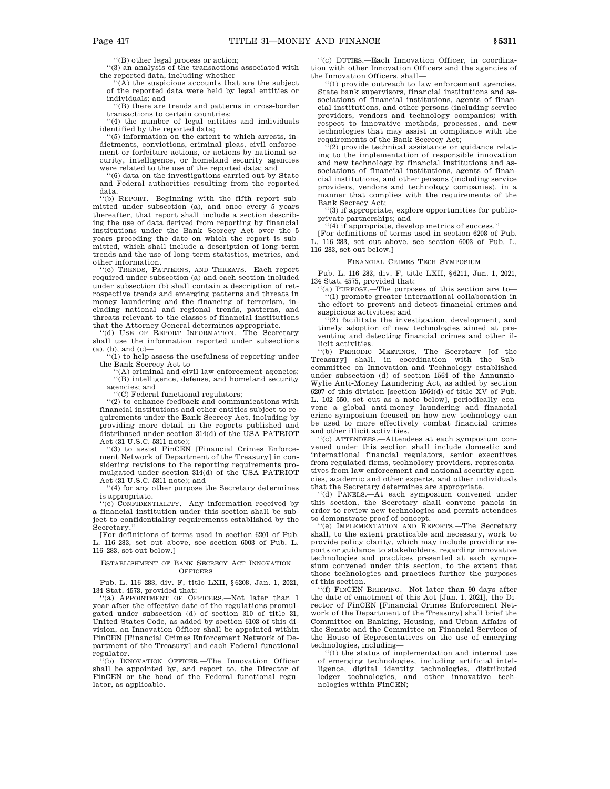''(B) other legal process or action;

''(3) an analysis of the transactions associated with the reported data, including whether—

'(A) the suspicious accounts that are the subject of the reported data were held by legal entities or individuals; and

''(B) there are trends and patterns in cross-border transactions to certain countries;

''(4) the number of legal entities and individuals identified by the reported data;

'(5) information on the extent to which arrests, indictments, convictions, criminal pleas, civil enforcement or forfeiture actions, or actions by national security, intelligence, or homeland security agencies were related to the use of the reported data; and

''(6) data on the investigations carried out by State and Federal authorities resulting from the reported

data. ''(b) REPORT.—Beginning with the fifth report submitted under subsection (a), and once every 5 years thereafter, that report shall include a section describing the use of data derived from reporting by financial institutions under the Bank Secrecy Act over the 5 years preceding the date on which the report is submitted, which shall include a description of long-term trends and the use of long-term statistics, metrics, and other information.

''(c) TRENDS, PATTERNS, AND THREATS.—Each report required under subsection (a) and each section included under subsection (b) shall contain a description of retrospective trends and emerging patterns and threats in money laundering and the financing of terrorism, including national and regional trends, patterns, and threats relevant to the classes of financial institutions that the Attorney General determines appropriate.

''(d) USE OF REPORT INFORMATION.—The Secretary shall use the information reported under subsections (a), (b), and (c)—

 $(1)$  to help assess the usefulness of reporting under the Bank Secrecy Act to—

 $(A)$  criminal and civil law enforcement agencies; ''(B) intelligence, defense, and homeland security agencies; and

''(C) Federal functional regulators;

''(2) to enhance feedback and communications with financial institutions and other entities subject to requirements under the Bank Secrecy Act, including by providing more detail in the reports published and distributed under section 314(d) of the USA PATRIOT Act (31 U.S.C. 5311 note);

''(3) to assist FinCEN [Financial Crimes Enforcement Network of Department of the Treasury] in considering revisions to the reporting requirements promulgated under section 314(d) of the USA PATRIOT Act (31 U.S.C. 5311 note); and

''(4) for any other purpose the Secretary determines is appropriate.

''(e) CONFIDENTIALITY.—Any information received by a financial institution under this section shall be subject to confidentiality requirements established by the Secretary.

[For definitions of terms used in section 6201 of Pub. L. 116–283, set out above, see section 6003 of Pub. L. 116–283, set out below.]

# ESTABLISHMENT OF BANK SECRECY ACT INNOVATION **OFFICERS**

Pub. L. 116–283, div. F, title LXII, §6208, Jan. 1, 2021, 134 Stat. 4573, provided that:

''(a) APPOINTMENT OF OFFICERS.—Not later than 1 year after the effective date of the regulations promulgated under subsection (d) of section 310 of title 31, United States Code, as added by section 6103 of this division, an Innovation Officer shall be appointed within FinCEN [Financial Crimes Enforcement Network of Department of the Treasury] and each Federal functional regulator.

''(b) INNOVATION OFFICER.—The Innovation Officer shall be appointed by, and report to, the Director of FinCEN or the head of the Federal functional regulator, as applicable.

''(c) DUTIES.—Each Innovation Officer, in coordination with other Innovation Officers and the agencies of the Innovation Officers, shall—

''(1) provide outreach to law enforcement agencies, State bank supervisors, financial institutions and associations of financial institutions, agents of financial institutions, and other persons (including service providers, vendors and technology companies) with respect to innovative methods, processes, and new technologies that may assist in compliance with the requirements of the Bank Secrecy Act;

 $(2)$  provide technical assistance or guidance relating to the implementation of responsible innovation and new technology by financial institutions and associations of financial institutions, agents of financial institutions, and other persons (including service providers, vendors and technology companies), in a manner that complies with the requirements of the Bank Secrecy Act;

'(3) if appropriate, explore opportunities for publicprivate partnerships; and

'(4) if appropriate, develop metrics of success.'

[For definitions of terms used in section 6208 of Pub. L. 116–283, set out above, see section 6003 of Pub. L. 116–283, set out below.]

## FINANCIAL CRIMES TECH SYMPOSIUM

Pub. L. 116–283, div. F, title LXII, §6211, Jan. 1, 2021, 134 Stat. 4575, provided that:

'(a) PURPOSE.—The purposes of this section are to— ''(1) promote greater international collaboration in the effort to prevent and detect financial crimes and suspicious activities; and

(2) facilitate the investigation, development, and timely adoption of new technologies aimed at preventing and detecting financial crimes and other illicit activities.

''(b) PERIODIC MEETINGS.—The Secretary [of the Treasury] shall, in coordination with the Subcommittee on Innovation and Technology established under subsection (d) of section 1564 of the Annunzio-Wylie Anti-Money Laundering Act, as added by section 6207 of this division [section 1564(d) of title XV of Pub. L. 102–550, set out as a note below], periodically convene a global anti-money laundering and financial crime symposium focused on how new technology can be used to more effectively combat financial crimes and other illicit activities.

''(c) ATTENDEES.—Attendees at each symposium convened under this section shall include domestic and international financial regulators, senior executives from regulated firms, technology providers, representatives from law enforcement and national security agencies, academic and other experts, and other individuals that the Secretary determines are appropriate.

'(d) PANELS.—At each symposium convened under this section, the Secretary shall convene panels in order to review new technologies and permit attendees to demonstrate proof of concept.

''(e) IMPLEMENTATION AND REPORTS.—The Secretary shall, to the extent practicable and necessary, work to provide policy clarity, which may include providing reports or guidance to stakeholders, regarding innovative technologies and practices presented at each symposium convened under this section, to the extent that those technologies and practices further the purposes of this section.

''(f) FINCEN BRIEFING.—Not later than 90 days after the date of enactment of this Act [Jan. 1, 2021], the Director of FinCEN [Financial Crimes Enforcement Network of the Department of the Treasury] shall brief the Committee on Banking, Housing, and Urban Affairs of the Senate and the Committee on Financial Services of the House of Representatives on the use of emerging technologies, including—

''(1) the status of implementation and internal use of emerging technologies, including artificial intelligence, digital identity technologies, distributed ledger technologies, and other innovative technologies within FinCEN;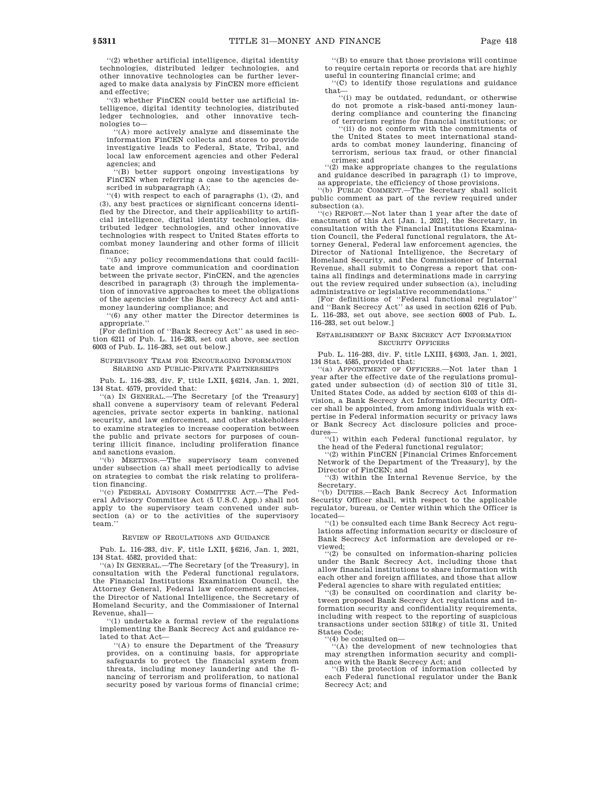''(2) whether artificial intelligence, digital identity technologies, distributed ledger technologies, and other innovative technologies can be further leveraged to make data analysis by FinCEN more efficient and effective;

'(3) whether FinCEN could better use artificial intelligence, digital identity technologies, distributed ledger technologies, and other innovative technologies to—

 $f(A)$  more actively analyze and disseminate the information FinCEN collects and stores to provide investigative leads to Federal, State, Tribal, and local law enforcement agencies and other Federal agencies; and

''(B) better support ongoing investigations by FinCEN when referring a case to the agencies described in subparagraph (A);

''(4) with respect to each of paragraphs (1), (2), and (3), any best practices or significant concerns identified by the Director, and their applicability to artificial intelligence, digital identity technologies, distributed ledger technologies, and other innovative technologies with respect to United States efforts to combat money laundering and other forms of illicit finance;

''(5) any policy recommendations that could facilitate and improve communication and coordination between the private sector, FinCEN, and the agencies described in paragraph (3) through the implementation of innovative approaches to meet the obligations of the agencies under the Bank Secrecy Act and antimoney laundering compliance; and

''(6) any other matter the Director determines is appropriate.''

[For definition of ''Bank Secrecy Act'' as used in section 6211 of Pub. L. 116–283, set out above, see section 6003 of Pub. L. 116–283, set out below.]

## SUPERVISORY TEAM FOR ENCOURAGING INFORMATION SHARING AND PUBLIC-PRIVATE PARTNERSHIPS

Pub. L. 116–283, div. F, title LXII, §6214, Jan. 1, 2021, 134 Stat. 4579, provided that:

''(a) IN GENERAL.—The Secretary [of the Treasury] shall convene a supervisory team of relevant Federal agencies, private sector experts in banking, national security, and law enforcement, and other stakeholders to examine strategies to increase cooperation between the public and private sectors for purposes of countering illicit finance, including proliferation finance and sanctions evasion.

''(b) MEETINGS.—The supervisory team convened under subsection (a) shall meet periodically to advise on strategies to combat the risk relating to proliferation financing.

''(c) FEDERAL ADVISORY COMMITTEE ACT.—The Federal Advisory Committee Act (5 U.S.C. App.) shall not apply to the supervisory team convened under subsection (a) or to the activities of the supervisory team.''

#### REVIEW OF REGULATIONS AND GUIDANCE

Pub. L. 116–283, div. F, title LXII, §6216, Jan. 1, 2021, 134 Stat. 4582, provided that:

''(a) IN GENERAL.—The Secretary [of the Treasury], in consultation with the Federal functional regulators, the Financial Institutions Examination Council, the Attorney General, Federal law enforcement agencies, the Director of National Intelligence, the Secretary of Homeland Security, and the Commissioner of Internal Revenue, shall—

''(1) undertake a formal review of the regulations implementing the Bank Secrecy Act and guidance related to that Act—

''(A) to ensure the Department of the Treasury provides, on a continuing basis, for appropriate safeguards to protect the financial system from threats, including money laundering and the financing of terrorism and proliferation, to national security posed by various forms of financial crime;

''(B) to ensure that those provisions will continue to require certain reports or records that are highly

useful in countering financial crime; and ''(C) to identify those regulations and guidance that— ''(i) may be outdated, redundant, or otherwise

do not promote a risk-based anti-money laundering compliance and countering the financing of terrorism regime for financial institutions; or

''(ii) do not conform with the commitments of the United States to meet international standards to combat money laundering, financing of terrorism, serious tax fraud, or other financial crimes; and

''(2) make appropriate changes to the regulations and guidance described in paragraph (1) to improve, as appropriate, the efficiency of those provisions.

''(b) PUBLIC COMMENT.—The Secretary shall solicit public comment as part of the review required under subsection (a).

''(c) REPORT.—Not later than 1 year after the date of enactment of this Act [Jan. 1, 2021], the Secretary, in consultation with the Financial Institutions Examination Council, the Federal functional regulators, the Attorney General, Federal law enforcement agencies, the Director of National Intelligence, the Secretary of Homeland Security, and the Commissioner of Internal Revenue, shall submit to Congress a report that contains all findings and determinations made in carrying out the review required under subsection (a), including administrative or legislative recommendations.''

[For definitions of ''Federal functional regulator'' and ''Bank Secrecy Act'' as used in section 6216 of Pub. L. 116–283, set out above, see section 6003 of Pub. L. 116–283, set out below.]

#### ESTABLISHMENT OF BANK SECRECY ACT INFORMATION SECURITY OFFICERS

Pub. L. 116–283, div. F, title LXIII, §6303, Jan. 1, 2021, 134 Stat. 4585, provided that:

''(a) APPOINTMENT OF OFFICERS.—Not later than 1 year after the effective date of the regulations promulgated under subsection (d) of section 310 of title 31, United States Code, as added by section 6103 of this division, a Bank Secrecy Act Information Security Officer shall be appointed, from among individuals with expertise in Federal information security or privacy laws or Bank Secrecy Act disclosure policies and procedures—

''(1) within each Federal functional regulator, by the head of the Federal functional regulator;

''(2) within FinCEN [Financial Crimes Enforcement Network of the Department of the Treasury], by the Director of FinCEN; and

''(3) within the Internal Revenue Service, by the Secretary.

''(b) DUTIES.—Each Bank Secrecy Act Information Security Officer shall, with respect to the applicable regulator, bureau, or Center within which the Officer is located—

''(1) be consulted each time Bank Secrecy Act regulations affecting information security or disclosure of Bank Secrecy Act information are developed or reviewed;

''(2) be consulted on information-sharing policies under the Bank Secrecy Act, including those that allow financial institutions to share information with each other and foreign affiliates, and those that allow

Federal agencies to share with regulated entities;<br>"(3) be consulted on coordination and clarity between proposed Bank Secrecy Act regulations and information security and confidentiality requirements, including with respect to the reporting of suspicious transactions under section 5318(g) of title 31, United States Code;

''(4) be consulted on— ''(A) the development of new technologies that may strengthen information security and compliance with the Bank Secrecy Act; and

''(B) the protection of information collected by each Federal functional regulator under the Bank Secrecy Act; and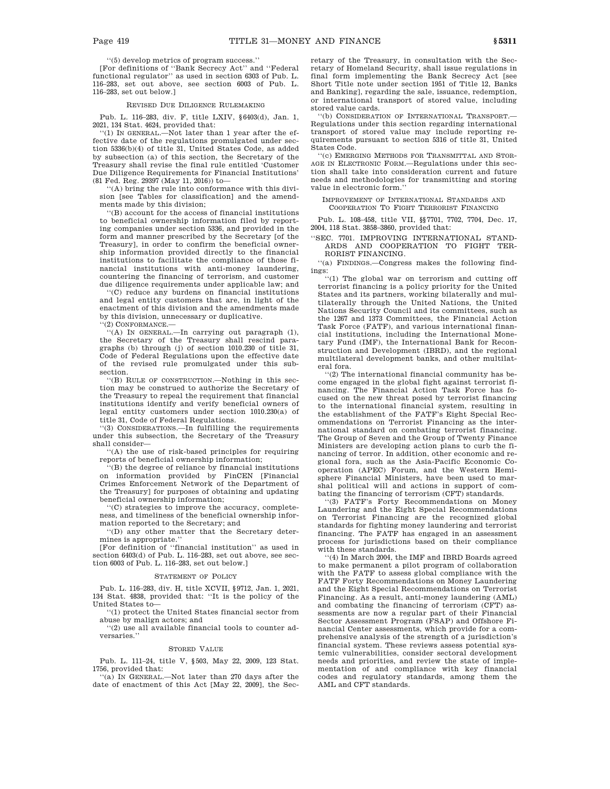''(5) develop metrics of program success.''

[For definitions of ''Bank Secrecy Act'' and ''Federal functional regulator'' as used in section 6303 of Pub. L. 116–283, set out above, see section 6003 of Pub. L. 116–283, set out below.]

## REVISED DUE DILIGENCE RULEMAKING

Pub. L. 116–283, div. F, title LXIV, §6403(d), Jan. 1, 2021, 134 Stat. 4624, provided that:

'(1) IN GENERAL.—Not later than 1 year after the effective date of the regulations promulgated under section 5336(b)(4) of title 31, United States Code, as added by subsection (a) of this section, the Secretary of the Treasury shall revise the final rule entitled 'Customer Due Diligence Requirements for Financial Institutions' (81 Fed. Reg. 29397 (May 11, 2016)) to—

''(A) bring the rule into conformance with this division [see Tables for classification] and the amendments made by this division;

''(B) account for the access of financial institutions to beneficial ownership information filed by reporting companies under section 5336, and provided in the form and manner prescribed by the Secretary [of the Treasury], in order to confirm the beneficial ownership information provided directly to the financial institutions to facilitate the compliance of those financial institutions with anti-money laundering, countering the financing of terrorism, and customer due diligence requirements under applicable law; and

''(C) reduce any burdens on financial institutions and legal entity customers that are, in light of the enactment of this division and the amendments made by this division, unnecessary or duplicative.

''(2) CONFORMANCE.—

''(A) IN GENERAL.—In carrying out paragraph (1), the Secretary of the Treasury shall rescind paragraphs (b) through (j) of section 1010.230 of title 31, Code of Federal Regulations upon the effective date of the revised rule promulgated under this subsection.

''(B) RULE OF CONSTRUCTION.—Nothing in this section may be construed to authorize the Secretary of the Treasury to repeal the requirement that financial institutions identify and verify beneficial owners of legal entity customers under section 1010.230(a) of title 31, Code of Federal Regulations.

''(3) CONSIDERATIONS.—In fulfilling the requirements under this subsection, the Secretary of the Treasury shall consider—

''(A) the use of risk-based principles for requiring reports of beneficial ownership information;

''(B) the degree of reliance by financial institutions on information provided by FinCEN [Financial Crimes Enforcement Network of the Department of the Treasury] for purposes of obtaining and updating beneficial ownership information;

''(C) strategies to improve the accuracy, completeness, and timeliness of the beneficial ownership information reported to the Secretary; and

'(D) any other matter that the Secretary determines is appropriate.''

[For definition of ''financial institution'' as used in section 6403(d) of Pub. L. 116–283, set out above, see section 6003 of Pub. L. 116–283, set out below.]

## STATEMENT OF POLICY

Pub. L. 116–283, div. H, title XCVII, §9712, Jan. 1, 2021, 134 Stat. 4838, provided that: ''It is the policy of the United States to—

''(1) protect the United States financial sector from abuse by malign actors; and

''(2) use all available financial tools to counter adversaries.''

#### STORED VALUE

Pub. L. 111–24, title V, §503, May 22, 2009, 123 Stat. 1756, provided that:

''(a) IN GENERAL.—Not later than 270 days after the date of enactment of this Act [May 22, 2009], the Secretary of the Treasury, in consultation with the Secretary of Homeland Security, shall issue regulations in final form implementing the Bank Secrecy Act [see Short Title note under section 1951 of Title 12, Banks and Banking], regarding the sale, issuance, redemption, or international transport of stored value, including stored value cards.

''(b) CONSIDERATION OF INTERNATIONAL TRANSPORT.— Regulations under this section regarding international transport of stored value may include reporting requirements pursuant to section 5316 of title 31, United States Code.

''(c) EMERGING METHODS FOR TRANSMITTAL AND STOR-AGE IN ELECTRONIC FORM.—Regulations under this section shall take into consideration current and future needs and methodologies for transmitting and storing value in electronic form.''

IMPROVEMENT OF INTERNATIONAL STANDARDS AND COOPERATION TO FIGHT TERRORIST FINANCING

Pub. L. 108–458, title VII, §§7701, 7702, 7704, Dec. 17, 2004, 118 Stat. 3858–3860, provided that:

# ''SEC. 7701. IMPROVING INTERNATIONAL STAND-ARDS AND COOPERATION TO FIGHT TER-RORIST FINANCING.

''(a) FINDINGS.—Congress makes the following findings:

''(1) The global war on terrorism and cutting off terrorist financing is a policy priority for the United States and its partners, working bilaterally and multilaterally through the United Nations, the United Nations Security Council and its committees, such as the 1267 and 1373 Committees, the Financial Action Task Force (FATF), and various international financial institutions, including the International Monetary Fund (IMF), the International Bank for Reconstruction and Development (IBRD), and the regional multilateral development banks, and other multilateral fora.

''(2) The international financial community has become engaged in the global fight against terrorist financing. The Financial Action Task Force has focused on the new threat posed by terrorist financing to the international financial system, resulting in the establishment of the FATF's Eight Special Recommendations on Terrorist Financing as the international standard on combating terrorist financing. The Group of Seven and the Group of Twenty Finance Ministers are developing action plans to curb the financing of terror. In addition, other economic and regional fora, such as the Asia-Pacific Economic Cooperation (APEC) Forum, and the Western Hemisphere Financial Ministers, have been used to marshal political will and actions in support of combating the financing of terrorism (CFT) standards.

''(3) FATF's Forty Recommendations on Money Laundering and the Eight Special Recommendations on Terrorist Financing are the recognized global standards for fighting money laundering and terrorist financing. The FATF has engaged in an assessment process for jurisdictions based on their compliance with these standards.

''(4) In March 2004, the IMF and IBRD Boards agreed to make permanent a pilot program of collaboration with the FATF to assess global compliance with the FATF Forty Recommendations on Money Laundering and the Eight Special Recommendations on Terrorist Financing. As a result, anti-money laundering (AML) and combating the financing of terrorism (CFT) assessments are now a regular part of their Financial Sector Assessment Program (FSAP) and Offshore Financial Center assessments, which provide for a comprehensive analysis of the strength of a jurisdiction's financial system. These reviews assess potential systemic vulnerabilities, consider sectoral development needs and priorities, and review the state of implementation of and compliance with key financial codes and regulatory standards, among them the AML and CFT standards.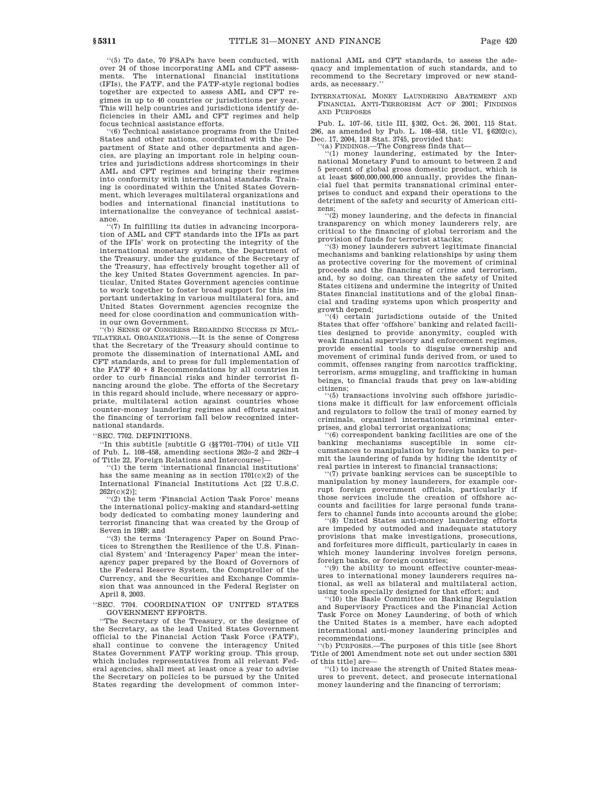''(5) To date, 70 FSAPs have been conducted, with over 24 of those incorporating AML and CFT assessments. The international financial institutions (IFIs), the FATF, and the FATF-style regional bodies together are expected to assess AML and CFT regimes in up to 40 countries or jurisdictions per year. This will help countries and jurisdictions identify deficiencies in their AML and CFT regimes and help focus technical assistance efforts.

''(6) Technical assistance programs from the United States and other nations, coordinated with the Department of State and other departments and agencies, are playing an important role in helping countries and jurisdictions address shortcomings in their AML and CFT regimes and bringing their regimes into conformity with international standards. Training is coordinated within the United States Government, which leverages multilateral organizations and bodies and international financial institutions to internationalize the conveyance of technical assistance.

''(7) In fulfilling its duties in advancing incorporation of AML and CFT standards into the IFIs as part of the IFIs' work on protecting the integrity of the international monetary system, the Department of the Treasury, under the guidance of the Secretary of the Treasury, has effectively brought together all of the key United States Government agencies. In particular, United States Government agencies continue to work together to foster broad support for this important undertaking in various multilateral fora, and United States Government agencies recognize the need for close coordination and communication within our own Government.

''(b) SENSE OF CONGRESS REGARDING SUCCESS IN MUL-TILATERAL ORGANIZATIONS.—It is the sense of Congress that the Secretary of the Treasury should continue to promote the dissemination of international AML and CFT standards, and to press for full implementation of the FATF 40 + 8 Recommendations by all countries in order to curb financial risks and hinder terrorist financing around the globe. The efforts of the Secretary in this regard should include, where necessary or appropriate, multilateral action against countries whose counter-money laundering regimes and efforts against the financing of terrorism fall below recognized international standards.

''SEC. 7702. DEFINITIONS.

''In this subtitle [subtitle G (§§7701–7704) of title VII of Pub. L. 108–458, amending sections 262*o*–2 and 262r–4 of Title 22, Foreign Relations and Intercourse]—

''(1) the term 'international financial institutions' has the same meaning as in section 1701(c)(2) of the International Financial Institutions Act [22 U.S.C. 262r(c)(2)];

''(2) the term 'Financial Action Task Force' means the international policy-making and standard-setting body dedicated to combating money laundering and terrorist financing that was created by the Group of Seven in 1989; and

''(3) the terms 'Interagency Paper on Sound Practices to Strengthen the Resilience of the U.S. Financial System' and 'Interagency Paper' mean the interagency paper prepared by the Board of Governors of the Federal Reserve System, the Comptroller of the Currency, and the Securities and Exchange Commission that was announced in the Federal Register on April 8, 2003.

''SEC. 7704. COORDINATION OF UNITED STATES GOVERNMENT EFFORTS.

''The Secretary of the Treasury, or the designee of the Secretary, as the lead United States Government official to the Financial Action Task Force (FATF), shall continue to convene the interagency United States Government FATF working group. This group, which includes representatives from all relevant Federal agencies, shall meet at least once a year to advise the Secretary on policies to be pursued by the United States regarding the development of common international AML and CFT standards, to assess the adequacy and implementation of such standards, and to recommend to the Secretary improved or new standards, as necessary.''

INTERNATIONAL MONEY LAUNDERING ABATEMENT AND FINANCIAL ANTI-TERRORISM ACT OF 2001; FINDINGS AND PURPOSES

Pub. L. 107–56, title III, §302, Oct. 26, 2001, 115 Stat. 296, as amended by Pub. L. 108–458, title VI, §6202(c), Dec. 17, 2004, 118 Stat. 3745, provided that:

''(a) FINDINGS.—The Congress finds that—

''(1) money laundering, estimated by the International Monetary Fund to amount to between 2 and 5 percent of global gross domestic product, which is at least \$600,000,000,000 annually, provides the financial fuel that permits transnational criminal enterprises to conduct and expand their operations to the detriment of the safety and security of American citizens;

''(2) money laundering, and the defects in financial transparency on which money launderers rely, are critical to the financing of global terrorism and the provision of funds for terrorist attacks;

(3) money launderers subvert legitimate financial mechanisms and banking relationships by using them as protective covering for the movement of criminal proceeds and the financing of crime and terrorism, and, by so doing, can threaten the safety of United States citizens and undermine the integrity of United States financial institutions and of the global financial and trading systems upon which prosperity and growth depend;

''(4) certain jurisdictions outside of the United States that offer 'offshore' banking and related facilities designed to provide anonymity, coupled with weak financial supervisory and enforcement regimes, provide essential tools to disguise ownership and movement of criminal funds derived from, or used to commit, offenses ranging from narcotics trafficking, terrorism, arms smuggling, and trafficking in human beings, to financial frauds that prey on law-abiding citizens;

''(5) transactions involving such offshore jurisdictions make it difficult for law enforcement officials and regulators to follow the trail of money earned by criminals, organized international criminal enterprises, and global terrorist organizations;

''(6) correspondent banking facilities are one of the banking mechanisms susceptible in some circumstances to manipulation by foreign banks to permit the laundering of funds by hiding the identity of real parties in interest to financial transactions;

 $(7)$  private banking services can be susceptible to manipulation by money launderers, for example corrupt foreign government officials, particularly if those services include the creation of offshore accounts and facilities for large personal funds transfers to channel funds into accounts around the globe;

''(8) United States anti-money laundering efforts are impeded by outmoded and inadequate statutory provisions that make investigations, prosecutions, and forfeitures more difficult, particularly in cases in which money laundering involves foreign persons, foreign banks, or foreign countries;

 $(9)$  the ability to mount effective counter-measures to international money launderers requires national, as well as bilateral and multilateral action, using tools specially designed for that effort; and

''(10) the Basle Committee on Banking Regulation and Supervisory Practices and the Financial Action Task Force on Money Laundering, of both of which the United States is a member, have each adopted international anti-money laundering principles and recommendations.

''(b) PURPOSES.—The purposes of this title [see Short Title of 2001 Amendment note set out under section 5301 of this title] are—

''(1) to increase the strength of United States measures to prevent, detect, and prosecute international money laundering and the financing of terrorism;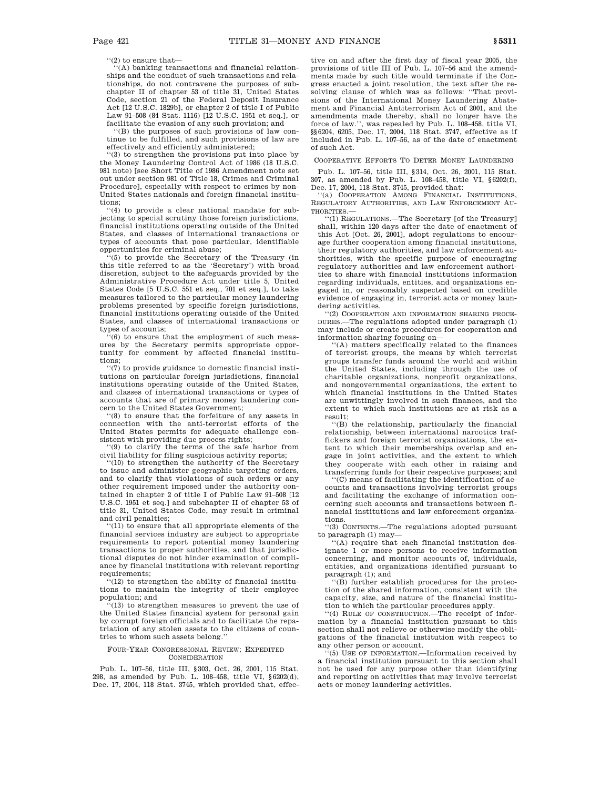''(2) to ensure that—

''(A) banking transactions and financial relationships and the conduct of such transactions and relationships, do not contravene the purposes of subchapter II of chapter 53 of title 31, United States Code, section 21 of the Federal Deposit Insurance Act [12 U.S.C. 1829b], or chapter 2 of title I of Public Law 91–508 (84 Stat. 1116) [12 U.S.C. 1951 et seq.], or facilitate the evasion of any such provision; and

''(B) the purposes of such provisions of law continue to be fulfilled, and such provisions of law are effectively and efficiently administered;

''(3) to strengthen the provisions put into place by the Money Laundering Control Act of 1986 (18 U.S.C. 981 note) [see Short Title of 1986 Amendment note set out under section 981 of Title 18, Crimes and Criminal Procedure], especially with respect to crimes by non-United States nationals and foreign financial institutions;

''(4) to provide a clear national mandate for subjecting to special scrutiny those foreign jurisdictions, financial institutions operating outside of the United States, and classes of international transactions or types of accounts that pose particular, identifiable opportunities for criminal abuse;

(5) to provide the Secretary of the Treasury (in this title referred to as the 'Secretary') with broad discretion, subject to the safeguards provided by the Administrative Procedure Act under title 5, United States Code [5 U.S.C. 551 et seq., 701 et seq.], to take measures tailored to the particular money laundering problems presented by specific foreign jurisdictions, financial institutions operating outside of the United States, and classes of international transactions or types of accounts;

 $(6)$  to ensure that the employment of such measures by the Secretary permits appropriate opportunity for comment by affected financial institutions;

 $'(7)$  to provide guidance to domestic financial institutions on particular foreign jurisdictions, financial institutions operating outside of the United States, and classes of international transactions or types of accounts that are of primary money laundering concern to the United States Government;

''(8) to ensure that the forfeiture of any assets in connection with the anti-terrorist efforts of the United States permits for adequate challenge consistent with providing due process rights;

'(9) to clarify the terms of the safe harbor from civil liability for filing suspicious activity reports;

'(10) to strengthen the authority of the Secretary to issue and administer geographic targeting orders, and to clarify that violations of such orders or any other requirement imposed under the authority contained in chapter 2 of title I of Public Law 91–508 [12 U.S.C. 1951 et seq.] and subchapter II of chapter 53 of title 31, United States Code, may result in criminal and civil penalties;

''(11) to ensure that all appropriate elements of the financial services industry are subject to appropriate requirements to report potential money laundering transactions to proper authorities, and that jurisdictional disputes do not hinder examination of compliance by financial institutions with relevant reporting requirements;

 $(12)$  to strengthen the ability of financial institutions to maintain the integrity of their employee population; and

 $(13)$  to strengthen measures to prevent the use of the United States financial system for personal gain by corrupt foreign officials and to facilitate the repatriation of any stolen assets to the citizens of countries to whom such assets belong.''

### FOUR-YEAR CONGRESSIONAL REVIEW; EXPEDITED **CONSIDERATION**

Pub. L. 107–56, title III, §303, Oct. 26, 2001, 115 Stat. 298, as amended by Pub. L. 108–458, title VI, §6202(d), Dec. 17, 2004, 118 Stat. 3745, which provided that, effec-

tive on and after the first day of fiscal year 2005, the provisions of title III of Pub. L. 107–56 and the amendments made by such title would terminate if the Congress enacted a joint resolution, the text after the resolving clause of which was as follows: ''That provisions of the International Money Laundering Abatement and Financial Antiterrorism Act of 2001, and the amendments made thereby, shall no longer have the force of law.'', was repealed by Pub. L. 108–458, title VI, §§6204, 6205, Dec. 17, 2004, 118 Stat. 3747, effective as if included in Pub. L. 107–56, as of the date of enactment of such Act.

COOPERATIVE EFFORTS TO DETER MONEY LAUNDERING

Pub. L. 107–56, title III, §314, Oct. 26, 2001, 115 Stat. 307, as amended by Pub. L. 108–458, title VI, §6202(f), Dec. 17, 2004, 118 Stat. 3745, provided that:

''(a) COOPERATION AMONG FINANCIAL INSTITUTIONS, REGULATORY AUTHORITIES, AND LAW ENFORCEMENT AU-THORITIES.—

''(1) REGULATIONS.—The Secretary [of the Treasury] shall, within 120 days after the date of enactment of this Act [Oct. 26, 2001], adopt regulations to encourage further cooperation among financial institutions, their regulatory authorities, and law enforcement authorities, with the specific purpose of encouraging regulatory authorities and law enforcement authorities to share with financial institutions information regarding individuals, entities, and organizations engaged in, or reasonably suspected based on credible evidence of engaging in, terrorist acts or money laundering activities.

'(2) COOPERATION AND INFORMATION SHARING PROCE- $\tt DURES.—The\ regulations\ adopted$  under paragraph  $(1)$ may include or create procedures for cooperation and information sharing focusing on—

''(A) matters specifically related to the finances of terrorist groups, the means by which terrorist groups transfer funds around the world and within the United States, including through the use of charitable organizations, nonprofit organizations, and nongovernmental organizations, the extent to which financial institutions in the United States are unwittingly involved in such finances, and the extent to which such institutions are at risk as a result;

''(B) the relationship, particularly the financial relationship, between international narcotics traffickers and foreign terrorist organizations, the extent to which their memberships overlap and engage in joint activities, and the extent to which they cooperate with each other in raising and transferring funds for their respective purposes; and

 $'(C)$  means of facilitating the identification of accounts and transactions involving terrorist groups and facilitating the exchange of information concerning such accounts and transactions between financial institutions and law enforcement organizations.

''(3) CONTENTS.—The regulations adopted pursuant to paragraph (1) may—

'(A) require that each financial institution designate 1 or more persons to receive information concerning, and monitor accounts of, individuals, entities, and organizations identified pursuant to paragraph (1); and

 $C(S)$  further establish procedures for the protection of the shared information, consistent with the capacity, size, and nature of the financial institution to which the particular procedures apply.

''(4) RULE OF CONSTRUCTION.—The receipt of information by a financial institution pursuant to this section shall not relieve or otherwise modify the obligations of the financial institution with respect to any other person or account.

 $(5)$  USE OF INFORMATION.—Information received by a financial institution pursuant to this section shall not be used for any purpose other than identifying and reporting on activities that may involve terrorist acts or money laundering activities.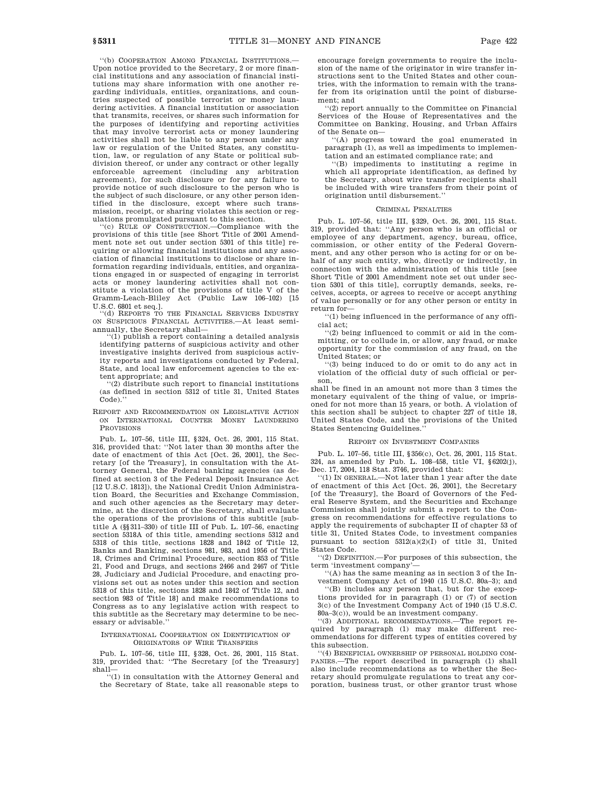''(b) COOPERATION AMONG FINANCIAL INSTITUTIONS.— Upon notice provided to the Secretary, 2 or more financial institutions and any association of financial institutions may share information with one another regarding individuals, entities, organizations, and countries suspected of possible terrorist or money laundering activities. A financial institution or association that transmits, receives, or shares such information for the purposes of identifying and reporting activities that may involve terrorist acts or money laundering activities shall not be liable to any person under any law or regulation of the United States, any constitution, law, or regulation of any State or political subdivision thereof, or under any contract or other legally enforceable agreement (including any arbitration agreement), for such disclosure or for any failure to provide notice of such disclosure to the person who is the subject of such disclosure, or any other person identified in the disclosure, except where such transmission, receipt, or sharing violates this section or regulations promulgated pursuant to this section.

'(c) RULE OF CONSTRUCTION.—Compliance with the provisions of this title [see Short Title of 2001 Amendment note set out under section 5301 of this title] requiring or allowing financial institutions and any association of financial institutions to disclose or share information regarding individuals, entities, and organizations engaged in or suspected of engaging in terrorist acts or money laundering activities shall not constitute a violation of the provisions of title V of the Gramm-Leach-Bliley Act (Public Law 106–102) [15

U.S.C. 6801 et seq.].<br>
"(d) REPORTS TO THE FINANCIAL SERVICES INDUSTRY ON SUSPICIOUS FINANCIAL ACTIVITIES.—At least semiannually, the Secretary shall—

''(1) publish a report containing a detailed analysis identifying patterns of suspicious activity and other investigative insights derived from suspicious activity reports and investigations conducted by Federal, State, and local law enforcement agencies to the extent appropriate; and

''(2) distribute such report to financial institutions (as defined in section 5312 of title 31, United States Code).''

## REPORT AND RECOMMENDATION ON LEGISLATIVE ACTION ON INTERNATIONAL COUNTER MONEY LAUNDERING PROVISIONS

Pub. L. 107–56, title III, §324, Oct. 26, 2001, 115 Stat. 316, provided that: ''Not later than 30 months after the date of enactment of this Act [Oct. 26, 2001], the Secretary [of the Treasury], in consultation with the Attorney General, the Federal banking agencies (as defined at section 3 of the Federal Deposit Insurance Act [12 U.S.C. 1813]), the National Credit Union Administration Board, the Securities and Exchange Commission, and such other agencies as the Secretary may determine, at the discretion of the Secretary, shall evaluate the operations of the provisions of this subtitle [subtitle A (§§311–330) of title III of Pub. L. 107–56, enacting section 5318A of this title, amending sections 5312 and 5318 of this title, sections 1828 and 1842 of Title 12, Banks and Banking, sections 981, 983, and 1956 of Title 18, Crimes and Criminal Procedure, section 853 of Title 21, Food and Drugs, and sections 2466 and 2467 of Title 28, Judiciary and Judicial Procedure, and enacting provisions set out as notes under this section and section 5318 of this title, sections 1828 and 1842 of Title 12, and section 983 of Title 18] and make recommendations to Congress as to any legislative action with respect to this subtitle as the Secretary may determine to be necessary or advisable.''

## INTERNATIONAL COOPERATION ON IDENTIFICATION OF ORIGINATORS OF WIRE TRANSFERS

Pub. L. 107–56, title III, §328, Oct. 26, 2001, 115 Stat. 319, provided that: ''The Secretary [of the Treasury]

shall— ''(1) in consultation with the Attorney General and the Secretary of State, take all reasonable steps to

encourage foreign governments to require the inclusion of the name of the originator in wire transfer instructions sent to the United States and other countries, with the information to remain with the transfer from its origination until the point of disbursement; and

''(2) report annually to the Committee on Financial Services of the House of Representatives and the Committee on Banking, Housing, and Urban Affairs of the Senate on—

''(A) progress toward the goal enumerated in paragraph (1), as well as impediments to implementation and an estimated compliance rate; and

''(B) impediments to instituting a regime in which all appropriate identification, as defined by the Secretary, about wire transfer recipients shall be included with wire transfers from their point of origination until disbursement.''

#### CRIMINAL PENALTIES

Pub. L. 107–56, title III, §329, Oct. 26, 2001, 115 Stat. 319, provided that: ''Any person who is an official or employee of any department, agency, bureau, office, commission, or other entity of the Federal Government, and any other person who is acting for or on behalf of any such entity, who, directly or indirectly, in connection with the administration of this title [see Short Title of 2001 Amendment note set out under section 5301 of this title], corruptly demands, seeks, receives, accepts, or agrees to receive or accept anything of value personally or for any other person or entity in return for—

''(1) being influenced in the performance of any official act;

''(2) being influenced to commit or aid in the committing, or to collude in, or allow, any fraud, or make opportunity for the commission of any fraud, on the United States; or

''(3) being induced to do or omit to do any act in violation of the official duty of such official or person,

shall be fined in an amount not more than 3 times the monetary equivalent of the thing of value, or imprisoned for not more than 15 years, or both. A violation of this section shall be subject to chapter 227 of title 18, United States Code, and the provisions of the United States Sentencing Guidelines.''

# REPORT ON INVESTMENT COMPANIES

Pub. L. 107–56, title III, §356(c), Oct. 26, 2001, 115 Stat. 324, as amended by Pub. L. 108–458, title VI, §6202(j), Dec. 17, 2004, 118 Stat. 3746, provided that:

''(1) IN GENERAL.—Not later than 1 year after the date of enactment of this Act [Oct. 26, 2001], the Secretary [of the Treasury], the Board of Governors of the Federal Reserve System, and the Securities and Exchange Commission shall jointly submit a report to the Congress on recommendations for effective regulations to apply the requirements of subchapter II of chapter 53 of title 31, United States Code, to investment companies pursuant to section  $5312(a)(2)(1)$  of title 31, United States Code.

''(2) DEFINITION.—For purposes of this subsection, the term 'investment company'—

''(A) has the same meaning as in section 3 of the Investment Company Act of 1940 (15 U.S.C. 80a–3); and ''(B) includes any person that, but for the exceptions provided for in paragraph (1) or (7) of section 3(c) of the Investment Company Act of 1940 (15 U.S.C. 80a–3(c)), would be an investment company.

''(3) ADDITIONAL RECOMMENDATIONS.—The report required by paragraph (1) may make different recommendations for different types of entities covered by this subsection.

''(4) BENEFICIAL OWNERSHIP OF PERSONAL HOLDING COM-PANIES.—The report described in paragraph (1) shall also include recommendations as to whether the Secretary should promulgate regulations to treat any corporation, business trust, or other grantor trust whose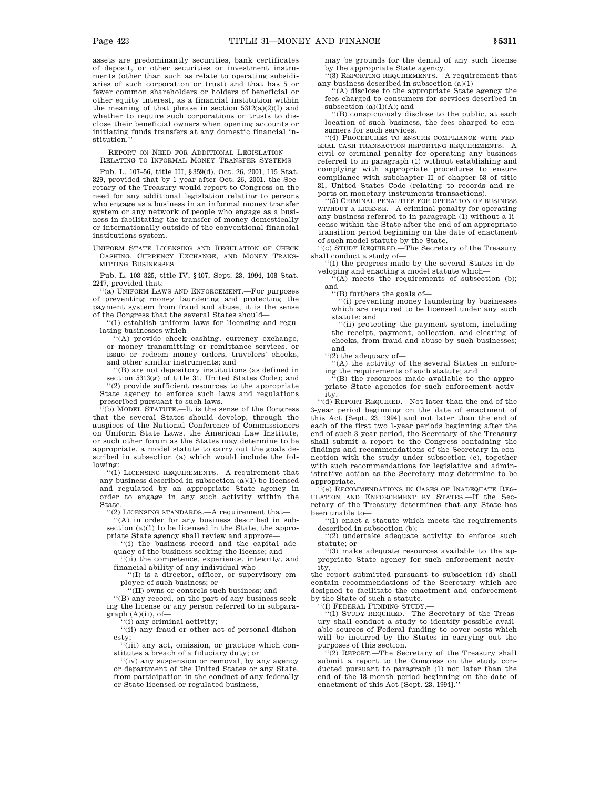assets are predominantly securities, bank certificates of deposit, or other securities or investment instruments (other than such as relate to operating subsidiaries of such corporation or trust) and that has 5 or fewer common shareholders or holders of beneficial or other equity interest, as a financial institution within the meaning of that phrase in section  $5312(a)(2)(I)$  and whether to require such corporations or trusts to disclose their beneficial owners when opening accounts or initiating funds transfers at any domestic financial institution.''

REPORT ON NEED FOR ADDITIONAL LEGISLATION RELATING TO INFORMAL MONEY TRANSFER SYSTEMS

Pub. L. 107–56, title III, §359(d), Oct. 26, 2001, 115 Stat. 329, provided that by 1 year after Oct. 26, 2001, the Secretary of the Treasury would report to Congress on the need for any additional legislation relating to persons who engage as a business in an informal money transfer system or any network of people who engage as a business in facilitating the transfer of money domestically or internationally outside of the conventional financial institutions system.

UNIFORM STATE LICENSING AND REGULATION OF CHECK CASHING, CURRENCY EXCHANGE, AND MONEY TRANS-MITTING BUSINESSES

Pub. L. 103–325, title IV, §407, Sept. 23, 1994, 108 Stat. 2247, provided that:

''(a) UNIFORM LAWS AND ENFORCEMENT.—For purposes of preventing money laundering and protecting the payment system from fraud and abuse, it is the sense of the Congress that the several States should—

''(1) establish uniform laws for licensing and regulating businesses which—

''(A) provide check cashing, currency exchange, or money transmitting or remittance services, or issue or redeem money orders, travelers' checks, and other similar instruments; and

''(B) are not depository institutions (as defined in section 5313(g) of title 31, United States Code); and ''(2) provide sufficient resources to the appropriate State agency to enforce such laws and regulations prescribed pursuant to such laws.

''(b) MODEL STATUTE.—It is the sense of the Congress that the several States should develop, through the auspices of the National Conference of Commissioners on Uniform State Laws, the American Law Institute, or such other forum as the States may determine to be appropriate, a model statute to carry out the goals described in subsection (a) which would include the following:

''(1) LICENSING REQUIREMENTS.—A requirement that any business described in subsection (a)(1) be licensed and regulated by an appropriate State agency in order to engage in any such activity within the State.

''(2) LICENSING STANDARDS.—A requirement that—

''(A) in order for any business described in subsection (a)(1) to be licensed in the State, the appropriate State agency shall review and approve—

''(i) the business record and the capital adequacy of the business seeking the license; and

''(ii) the competence, experience, integrity, and financial ability of any individual who—

''(I) is a director, officer, or supervisory employee of such business; or

''(II) owns or controls such business; and

''(B) any record, on the part of any business seeking the license or any person referred to in subpara $graph (A)(ii)$ , of-

''(i) any criminal activity;

''(ii) any fraud or other act of personal dishonesty; ''(iii) any act, omission, or practice which con-

stitutes a breach of a fiduciary duty; or

''(iv) any suspension or removal, by any agency or department of the United States or any State, from participation in the conduct of any federally or State licensed or regulated business,

may be grounds for the denial of any such license by the appropriate State agency.

''(3) REPORTING REQUIREMENTS.—A requirement that any business described in subsection (a)(1)-

''(A) disclose to the appropriate State agency the fees charged to consumers for services described in subsection  $(a)(1)(A)$ ; and

''(B) conspicuously disclose to the public, at each location of such business, the fees charged to consumers for such services.

''(4) PROCEDURES TO ENSURE COMPLIANCE WITH FED-ERAL CASH TRANSACTION REPORTING REQUIREMENTS.—A civil or criminal penalty for operating any business referred to in paragraph (1) without establishing and complying with appropriate procedures to ensure compliance with subchapter II of chapter 53 of title 31, United States Code (relating to records and reports on monetary instruments transactions).

''(5) CRIMINAL PENALTIES FOR OPERATION OF BUSINESS WITHOUT A LICENSE.—A criminal penalty for operating any business referred to in paragraph (1) without a license within the State after the end of an appropriate transition period beginning on the date of enactment of such model statute by the State.

'(c) STUDY REQUIRED.—The Secretary of the Treasury shall conduct a study of—

'(1) the progress made by the several States in developing and enacting a model statute which—

 $\tilde{f}(A)$  meets the requirements of subsection (b); and

''(B) furthers the goals of—

''(i) preventing money laundering by businesses which are required to be licensed under any such statute; and

''(ii) protecting the payment system, including the receipt, payment, collection, and clearing of checks, from fraud and abuse by such businesses; and

''(2) the adequacy of—

 $($ A) the activity of the several States in enforc-

ing the requirements of such statute; and ''(B) the resources made available to the appropriate State agencies for such enforcement activity.

''(d) REPORT REQUIRED.—Not later than the end of the 3-year period beginning on the date of enactment of this Act [Sept. 23, 1994] and not later than the end of each of the first two 1-year periods beginning after the end of such 3-year period, the Secretary of the Treasury shall submit a report to the Congress containing the findings and recommendations of the Secretary in connection with the study under subsection (c), together with such recommendations for legislative and administrative action as the Secretary may determine to be appropriate.

 $\tilde{H}(e)$  RECOMMENDATIONS IN CASES OF INADEQUATE REG-ULATION AND ENFORCEMENT BY STATES.—If the Secretary of the Treasury determines that any State has been unable to—

'(1) enact a statute which meets the requirements described in subsection (b);

''(2) undertake adequate activity to enforce such statute; or

''(3) make adequate resources available to the appropriate State agency for such enforcement activity,

the report submitted pursuant to subsection (d) shall contain recommendations of the Secretary which are designed to facilitate the enactment and enforcement by the State of such a statute.

''(f) FEDERAL FUNDING STUDY.—

''(1) STUDY REQUIRED.—The Secretary of the Treasury shall conduct a study to identify possible available sources of Federal funding to cover costs which will be incurred by the States in carrying out the purposes of this section.

 $\overline{2}$ ) REPORT.—The Secretary of the Treasury shall submit a report to the Congress on the study conducted pursuant to paragraph (1) not later than the end of the 18-month period beginning on the date of enactment of this Act [Sept. 23, 1994].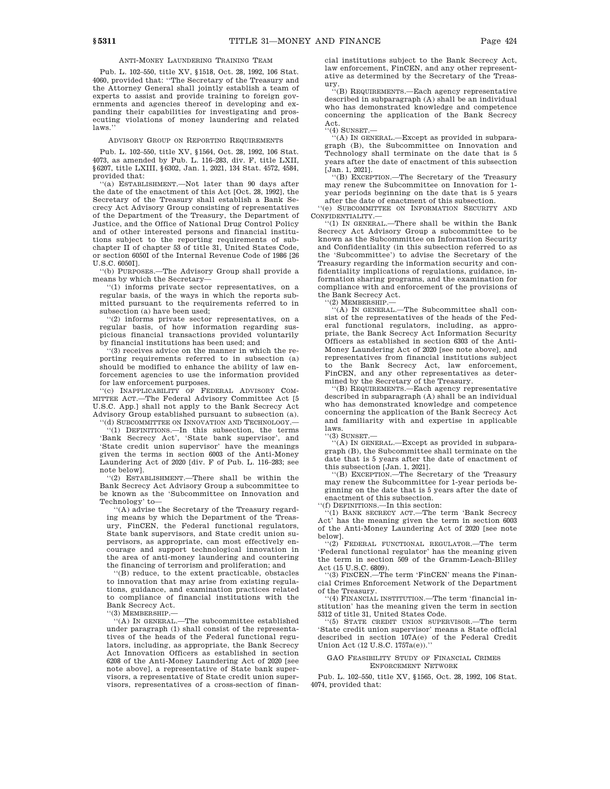# ANTI-MONEY LAUNDERING TRAINING TEAM

Pub. L. 102–550, title XV, §1518, Oct. 28, 1992, 106 Stat. 4060, provided that: ''The Secretary of the Treasury and the Attorney General shall jointly establish a team of experts to assist and provide training to foreign governments and agencies thereof in developing and expanding their capabilities for investigating and prosecuting violations of money laundering and related laws.''

ADVISORY GROUP ON REPORTING REQUIREMENTS

Pub. L. 102–550, title XV, §1564, Oct. 28, 1992, 106 Stat. 4073, as amended by Pub. L. 116–283, div. F, title LXII, §6207, title LXIII, §6302, Jan. 1, 2021, 134 Stat. 4572, 4584, provided that:

'(a) ESTABLISHMENT.—Not later than 90 days after the date of the enactment of this Act [Oct. 28, 1992], the Secretary of the Treasury shall establish a Bank Secrecy Act Advisory Group consisting of representatives of the Department of the Treasury, the Department of Justice, and the Office of National Drug Control Policy and of other interested persons and financial institutions subject to the reporting requirements of subchapter II of chapter 53 of title 31, United States Code, or section 6050I of the Internal Revenue Code of 1986 [26 U.S.C. 6050I].

''(b) PURPOSES.—The Advisory Group shall provide a means by which the Secretary—

''(1) informs private sector representatives, on a regular basis, of the ways in which the reports submitted pursuant to the requirements referred to in subsection (a) have been used;

''(2) informs private sector representatives, on a regular basis, of how information regarding suspicious financial transactions provided voluntarily by financial institutions has been used; and

''(3) receives advice on the manner in which the reporting requirements referred to in subsection (a) should be modified to enhance the ability of law enforcement agencies to use the information provided for law enforcement purposes.

''(c) INAPPLICABILITY OF FEDERAL ADVISORY COM-MITTEE ACT.—The Federal Advisory Committee Act [5 U.S.C. App.] shall not apply to the Bank Secrecy Act Advisory Group established pursuant to subsection (a).

''(d) SUBCOMMITTEE ON INNOVATION AND TECHNOLOGY.—

''(1) DEFINITIONS.—In this subsection, the terms 'Bank Secrecy Act', 'State bank supervisor', and 'State credit union supervisor' have the meanings given the terms in section 6003 of the Anti-Money Laundering Act of 2020 [div. F of Pub. L. 116–283; see note below].

''(2) ESTABLISHMENT.—There shall be within the Bank Secrecy Act Advisory Group a subcommittee to be known as the 'Subcommittee on Innovation and Technology' to—

''(A) advise the Secretary of the Treasury regarding means by which the Department of the Treasury, FinCEN, the Federal functional regulators, State bank supervisors, and State credit union supervisors, as appropriate, can most effectively encourage and support technological innovation in the area of anti-money laundering and countering the financing of terrorism and proliferation; and

''(B) reduce, to the extent practicable, obstacles to innovation that may arise from existing regulations, guidance, and examination practices related to compliance of financial institutions with the Bank Secrecy Act.

''(3) MEMBERSHIP.—

 $'(A)$  IN GENERAL.—The subcommittee established under paragraph (1) shall consist of the representatives of the heads of the Federal functional regulators, including, as appropriate, the Bank Secrecy Act Innovation Officers as established in section 6208 of the Anti-Money Laundering Act of 2020 [see note above], a representative of State bank supervisors, a representative of State credit union supervisors, representatives of a cross-section of financial institutions subject to the Bank Secrecy Act, law enforcement, FinCEN, and any other representative as determined by the Secretary of the Treasury.

''(B) REQUIREMENTS.—Each agency representative described in subparagraph (A) shall be an individual who has demonstrated knowledge and competence concerning the application of the Bank Secrecy Act. ''(4) SUNSET.—

''(A) IN GENERAL.—Except as provided in subpara-

graph (B), the Subcommittee on Innovation and Technology shall terminate on the date that is 5 years after the date of enactment of this subsection [Jan. 1, 2021].

''(B) EXCEPTION.—The Secretary of the Treasury may renew the Subcommittee on Innovation for 1 year periods beginning on the date that is 5 years after the date of enactment of this subsection.

''(e) SUBCOMMITTEE ON INFORMATION SECURITY AND CONFIDENTIALITY.—

 $(1)$  IN GENERAL.—There shall be within the Bank Secrecy Act Advisory Group a subcommittee to be known as the Subcommittee on Information Security and Confidentiality (in this subsection referred to as the 'Subcommittee') to advise the Secretary of the Treasury regarding the information security and confidentiality implications of regulations, guidance, information sharing programs, and the examination for compliance with and enforcement of the provisions of the Bank Secrecy Act.

''(2) MEMBERSHIP.—

''(A) IN GENERAL.—The Subcommittee shall consist of the representatives of the heads of the Federal functional regulators, including, as appropriate, the Bank Secrecy Act Information Security Officers as established in section 6303 of the Anti-Money Laundering Act of 2020 [see note above], and representatives from financial institutions subject to the Bank Secrecy Act, law enforcement, FinCEN, and any other representatives as deter-

mined by the Secretary of the Treasury. ''(B) REQUIREMENTS.—Each agency representative described in subparagraph (A) shall be an individual who has demonstrated knowledge and competence concerning the application of the Bank Secrecy Act and familiarity with and expertise in applicable laws.

''(3) SUNSET.—

 $($ A) IN GENERAL.—Except as provided in subparagraph (B), the Subcommittee shall terminate on the date that is 5 years after the date of enactment of this subsection [Jan. 1, 2021].

''(B) EXCEPTION.—The Secretary of the Treasury may renew the Subcommittee for 1-year periods beginning on the date that is 5 years after the date of enactment of this subsection.

''(f) DEFINITIONS.—In this section:

''(1) BANK SECRECY ACT.—The term 'Bank Secrecy Act' has the meaning given the term in section 6003 of the Anti-Money Laundering Act of 2020 [see note below].

''(2) FEDERAL FUNCTIONAL REGULATOR.—The term 'Federal functional regulator' has the meaning given the term in section 509 of the Gramm-Leach-Bliley Act (15 U.S.C. 6809).

''(3) FINCEN.—The term 'FinCEN' means the Financial Crimes Enforcement Network of the Department of the Treasury.

''(4) FINANCIAL INSTITUTION.—The term 'financial institution' has the meaning given the term in section 5312 of title 31, United States Code.

''(5) STATE CREDIT UNION SUPERVISOR.—The term 'State credit union supervisor' means a State official described in section 107A(e) of the Federal Credit Union Act (12 U.S.C. 1757a(e)).''

## GAO FEASIBILITY STUDY OF FINANCIAL CRIMES ENFORCEMENT NETWORK

Pub. L. 102–550, title XV, §1565, Oct. 28, 1992, 106 Stat. 4074, provided that: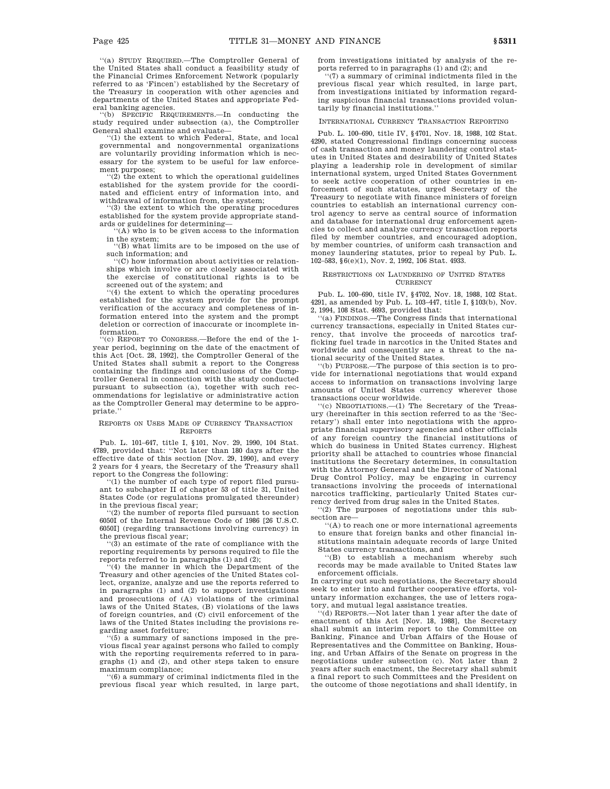''(a) STUDY REQUIRED.—The Comptroller General of the United States shall conduct a feasibility study of the Financial Crimes Enforcement Network (popularly referred to as 'Fincen') established by the Secretary of the Treasury in cooperation with other agencies and departments of the United States and appropriate Federal banking agencies.

''(b) SPECIFIC REQUIREMENTS.—In conducting the study required under subsection (a), the Comptroller General shall examine and evaluate—

''(1) the extent to which Federal, State, and local governmental and nongovernmental organizations are voluntarily providing information which is necessary for the system to be useful for law enforcement purposes;

''(2) the extent to which the operational guidelines established for the system provide for the coordi-nated and efficient entry of information into, and withdrawal of information from, the system:

'(3) the extent to which the operating procedures established for the system provide appropriate standards or guidelines for determining—

 $(A)$  who is to be given access to the information in the system;

''(B) what limits are to be imposed on the use of such information; and

''(C) how information about activities or relationships which involve or are closely associated with the exercise of constitutional rights is to be screened out of the system; and

''(4) the extent to which the operating procedures established for the system provide for the prompt verification of the accuracy and completeness of information entered into the system and the prompt deletion or correction of inaccurate or incomplete information.

'(c) REPORT TO CONGRESS.—Before the end of the 1year period, beginning on the date of the enactment of this Act [Oct. 28, 1992], the Comptroller General of the United States shall submit a report to the Congress containing the findings and conclusions of the Comptroller General in connection with the study conducted pursuant to subsection (a), together with such recommendations for legislative or administrative action as the Comptroller General may determine to be appropriate.''

## REPORTS ON USES MADE OF CURRENCY TRANSACTION REPORTS

Pub. L. 101–647, title I, §101, Nov. 29, 1990, 104 Stat. 4789, provided that: ''Not later than 180 days after the effective date of this section [Nov. 29, 1990], and every 2 years for 4 years, the Secretary of the Treasury shall report to the Congress the following:

''(1) the number of each type of report filed pursuant to subchapter II of chapter 53 of title 31, United States Code (or regulations promulgated thereunder) in the previous fiscal year;

(2) the number of reports filed pursuant to section 6050I of the Internal Revenue Code of 1986 [26 U.S.C. 6050I] (regarding transactions involving currency) in the previous fiscal year;

 $(3)$  an estimate of the rate of compliance with the reporting requirements by persons required to file the

reports referred to in paragraphs (1) and (2); ''(4) the manner in which the Department of the Treasury and other agencies of the United States collect, organize, analyze and use the reports referred to in paragraphs (1) and (2) to support investigations and prosecutions of (A) violations of the criminal laws of the United States, (B) violations of the laws of foreign countries, and (C) civil enforcement of the laws of the United States including the provisions regarding asset forfeiture;

''(5) a summary of sanctions imposed in the previous fiscal year against persons who failed to comply with the reporting requirements referred to in paragraphs (1) and (2), and other steps taken to ensure maximum compliance;

''(6) a summary of criminal indictments filed in the previous fiscal year which resulted, in large part, from investigations initiated by analysis of the reports referred to in paragraphs (1) and (2); and

''(7) a summary of criminal indictments filed in the previous fiscal year which resulted, in large part, from investigations initiated by information regarding suspicious financial transactions provided voluntarily by financial institutions.''

# INTERNATIONAL CURRENCY TRANSACTION REPORTING

Pub. L. 100–690, title IV, §4701, Nov. 18, 1988, 102 Stat. 4290, stated Congressional findings concerning success of cash transaction and money laundering control statutes in United States and desirability of United States playing a leadership role in development of similar international system, urged United States Government to seek active cooperation of other countries in enforcement of such statutes, urged Secretary of the Treasury to negotiate with finance ministers of foreign countries to establish an international currency control agency to serve as central source of information and database for international drug enforcement agencies to collect and analyze currency transaction reports filed by member countries, and encouraged adoption, by member countries, of uniform cash transaction and money laundering statutes, prior to repeal by Pub. L. 102–583, §6(e)(1), Nov. 2, 1992, 106 Stat. 4933.

## RESTRICTIONS ON LAUNDERING OF UNITED STATES **CURRENCY**

Pub. L. 100–690, title IV, §4702, Nov. 18, 1988, 102 Stat. 4291, as amended by Pub. L. 103–447, title I, §103(b), Nov. 2, 1994, 108 Stat. 4693, provided that:

''(a) FINDINGS.—The Congress finds that international currency transactions, especially in United States currency, that involve the proceeds of narcotics trafficking fuel trade in narcotics in the United States and worldwide and consequently are a threat to the national security of the United States.

''(b) PURPOSE.—The purpose of this section is to provide for international negotiations that would expand access to information on transactions involving large amounts of United States currency wherever those transactions occur worldwide.

''(c) NEGOTIATIONS.—(1) The Secretary of the Treasury (hereinafter in this section referred to as the 'Secretary') shall enter into negotiations with the appropriate financial supervisory agencies and other officials of any foreign country the financial institutions of which do business in United States currency. Highest priority shall be attached to countries whose financial institutions the Secretary determines, in consultation with the Attorney General and the Director of National Drug Control Policy, may be engaging in currency transactions involving the proceeds of international narcotics trafficking, particularly United States currency derived from drug sales in the United States.

''(2) The purposes of negotiations under this subsection are—

''(A) to reach one or more international agreements to ensure that foreign banks and other financial institutions maintain adequate records of large United States currency transactions, and

''(B) to establish a mechanism whereby such records may be made available to United States law enforcement officials.

In carrying out such negotiations, the Secretary should seek to enter into and further cooperative efforts, voluntary information exchanges, the use of letters rogatory, and mutual legal assistance treaties.

''(d) REPORTS.—Not later than 1 year after the date of enactment of this Act [Nov. 18, 1988], the Secretary shall submit an interim report to the Committee on Banking, Finance and Urban Affairs of the House of Representatives and the Committee on Banking, Housing, and Urban Affairs of the Senate on progress in the negotiations under subsection (c). Not later than 2 years after such enactment, the Secretary shall submit a final report to such Committees and the President on the outcome of those negotiations and shall identify, in